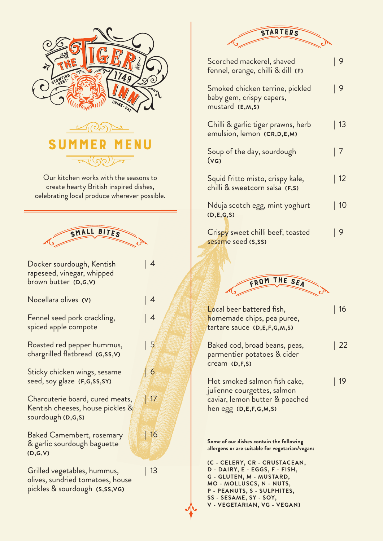

| 16

| 9

| 9

| 13

| 7

 $|12$ 

| 10

| 9

| 22

| 19